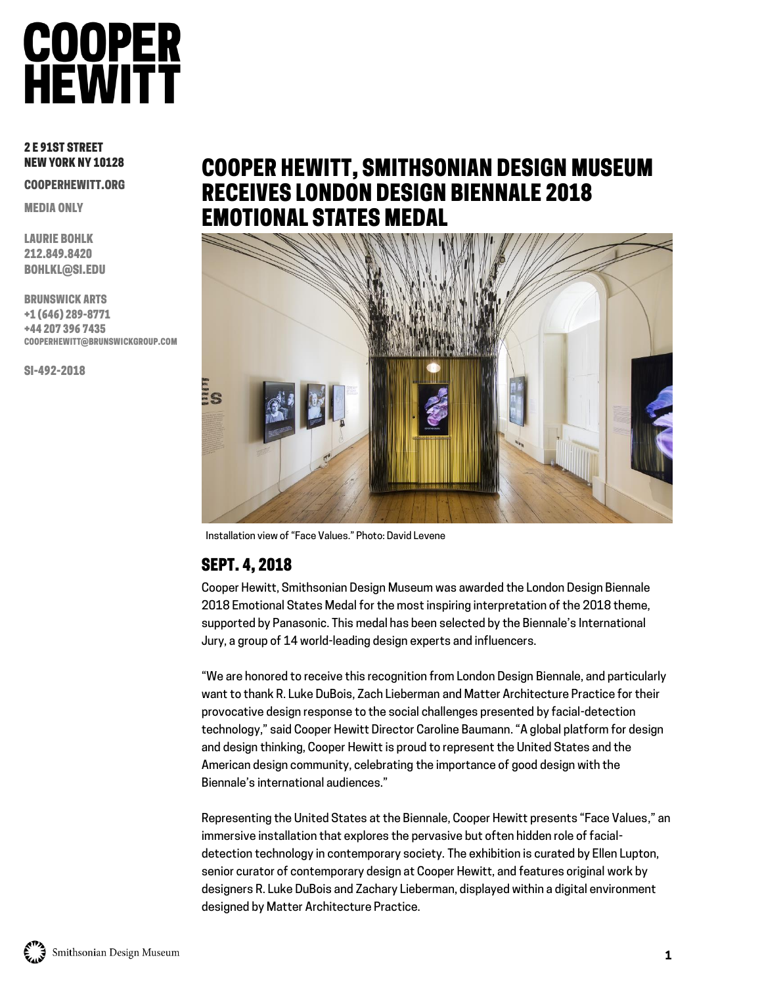### **COOPER**<br>HEWITT

#### 2 E 91ST STREET NEW YORK NY 10128

COOPERHEWITT.ORG

MEDIA ONLY

LAURIE BOHLK 212.849.8420 BOHLKL@SI.EDU

BRUNSWICK ARTS +1 (646) 289-8771 +44 207 396 7435 COOPERHEWITT@BRUNSWICKGROUP.COM

SI-492-2018

### COOPER HEWITT, SMITHSONIAN DESIGN MUSEUM RECEIVES LONDON DESIGN BIENNALE 2018 EMOTIONAL STATES MEDAL



Installation view of "Face Values." Photo: David Levene

#### SEPT. 4, 2018

Cooper Hewitt, Smithsonian Design Museum was awarded the London Design Biennale 2018 Emotional States Medal for the most inspiring interpretation of the 2018 theme, supported by Panasonic. This medal has been selected by the Biennale's [International](http://www.londondesignbiennale.com/jury)  [Jury,](http://www.londondesignbiennale.com/jury) a group of 14 world-leading design experts and influencers.

"We are honored to receive this recognition from London Design Biennale, and particularly want to thank R. Luke DuBois, Zach Lieberman and Matter Architecture Practice for their provocative design response to the social challenges presented by facial-detection technology," said Cooper Hewitt Director Caroline Baumann. "A global platform for design and design thinking, Cooper Hewitt is proud to represent the United States and the American design community, celebrating the importance of good design with the Biennale's international audiences."

Representing the United States at the Biennale, Cooper Hewitt presents "Face Values," an immersive installation that explores the pervasive but often hidden role of facialdetection technology in contemporary society*.* The exhibition is curated by Ellen Lupton, senior curator of contemporary design at Cooper Hewitt, and features original work by designers R. Luke DuBois and Zachary Lieberman, displayed within a digital environment designed by Matter Architecture Practice.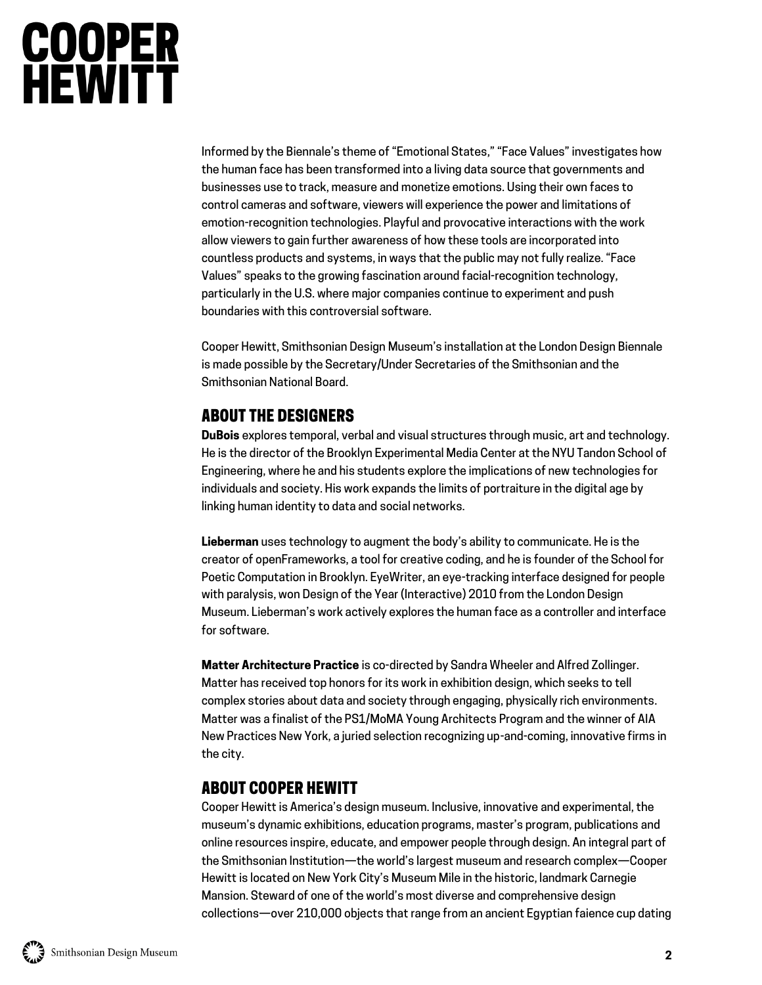# **COOPER<br>HEWITT**

Informed by the Biennale's theme of "Emotional States," "Face Values" investigates how the human face has been transformed into a living data source that governments and businesses use to track, measure and monetize emotions. Using their own faces to control cameras and software, viewers will experience the power and limitations of emotion-recognition technologies. Playful and provocative interactions with the work allow viewers to gain further awareness of how these tools are incorporated into countless products and systems, in ways that the public may not fully realize. "Face Values" speaks to the growing fascination around facial-recognition technology, particularly in the U.S. where major companies continue to experiment and push boundaries with this controversial software.

Cooper Hewitt, Smithsonian Design Museum's installation at the London Design Biennale is made possible by the Secretary/Under Secretaries of the Smithsonian and the Smithsonian National Board.

#### ABOUT THE DESIGNERS

**DuBois** explores temporal, verbal and visual structures through music, art and technology. He is the director of the Brooklyn Experimental Media Center at the NYU Tandon School of Engineering, where he and his students explore the implications of new technologies for individuals and society. His work expands the limits of portraiture in the digital age by linking human identity to data and social networks.

**Lieberman** uses technology to augment the body's ability to communicate. He is the creator of openFrameworks, a tool for creative coding, and he is founder of the School for Poetic Computation in Brooklyn. EyeWriter, an eye-tracking interface designed for people with paralysis, won Design of the Year (Interactive) 2010 from the London Design Museum. Lieberman's work actively explores the human face as a controller and interface for software.

**Matter Architecture Practice** is co-directed by Sandra Wheeler and Alfred Zollinger. Matter has received top honors for its work in exhibition design, which seeks to tell complex stories about data and society through engaging, physically rich environments. Matter was a finalist of the PS1/MoMA Young Architects Program and the winner of AIA New Practices New York, a juried selection recognizing up-and-coming, innovative firms in the city.

#### ABOUT COOPER HEWITT

Cooper Hewitt is America's design museum. Inclusive, innovative and experimental, the museum's dynamic exhibitions, education programs, master's program, publications and online resources inspire, educate, and empower people through design. An integral part of the Smithsonian Institution—the world's largest museum and research complex—Cooper Hewitt is located on New York City's Museum Mile in the historic, landmark Carnegie Mansion. Steward of one of the world's most diverse and comprehensive design collections—over 210,000 objects that range from an ancient Egyptian faience cup dating